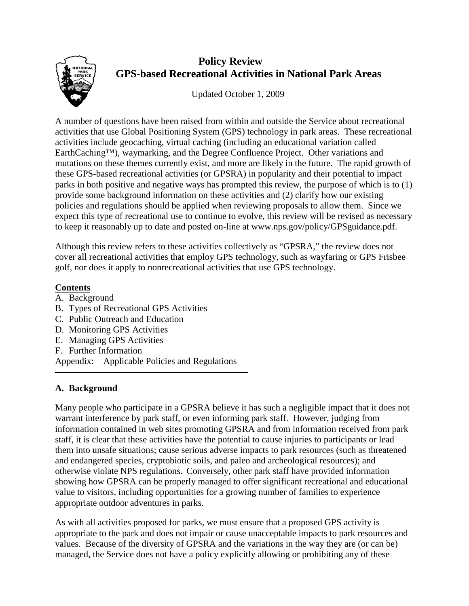

# **Policy Review GPS-based Recreational Activities in National Park Areas**

Updated October 1, 2009

A number of questions have been raised from within and outside the Service about recreational activities that use Global Positioning System (GPS) technology in park areas. These recreational activities include geocaching, virtual caching (including an educational variation called EarthCaching™), waymarking, and the Degree Confluence Project. Other variations and mutations on these themes currently exist, and more are likely in the future. The rapid growth of these GPS-based recreational activities (or GPSRA) in popularity and their potential to impact parks in both positive and negative ways has prompted this review, the purpose of which is to (1) provide some background information on these activities and (2) clarify how our existing policies and regulations should be applied when reviewing proposals to allow them. Since we expect this type of recreational use to continue to evolve, this review will be revised as necessary to keep it reasonably up to date and posted on-line at www.nps.gov/policy/GPSguidance.pdf.

Although this review refers to these activities collectively as "GPSRA," the review does not cover all recreational activities that employ GPS technology, such as wayfaring or GPS Frisbee golf, nor does it apply to nonrecreational activities that use GPS technology.

# **Contents**

- A. Background
- B. Types of Recreational GPS Activities
- C. Public Outreach and Education
- D. Monitoring GPS Activities
- E. Managing GPS Activities
- F. Further Information

Appendix: Applicable Policies and Regulations

#### **A. Background**

Many people who participate in a GPSRA believe it has such a negligible impact that it does not warrant interference by park staff, or even informing park staff. However, judging from information contained in web sites promoting GPSRA and from information received from park staff, it is clear that these activities have the potential to cause injuries to participants or lead them into unsafe situations; cause serious adverse impacts to park resources (such as threatened and endangered species, cryptobiotic soils, and paleo and archeological resources); and otherwise violate NPS regulations. Conversely, other park staff have provided information showing how GPSRA can be properly managed to offer significant recreational and educational value to visitors, including opportunities for a growing number of families to experience appropriate outdoor adventures in parks.

As with all activities proposed for parks, we must ensure that a proposed GPS activity is appropriate to the park and does not impair or cause unacceptable impacts to park resources and values. Because of the diversity of GPSRA and the variations in the way they are (or can be) managed, the Service does not have a policy explicitly allowing or prohibiting any of these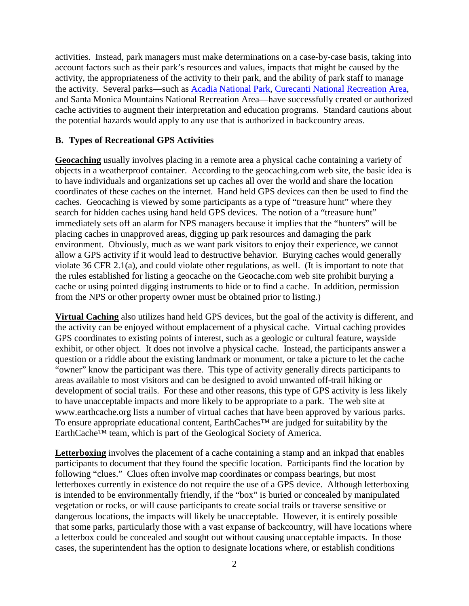activities. Instead, park managers must make determinations on a case-by-case basis, taking into account factors such as their park's resources and values, impacts that might be caused by the activity, the appropriateness of the activity to their park, and the ability of park staff to manage the activity. Several parks—such as [Acadia National Park,](http://www.nps.gov/acad/earthcache.htm) Curecanti [National Recreation Area,](http://www.nps.gov/cure/forteachers/lp_globes.htm) and [Santa Monica Mountains National Recreation Area—](http://www.nps.gov/samo/planyourvisit/gpsactivities.htm)have successfully created or authorized cache activities to augment their interpretation and education programs. Standard cautions about the potential hazards would apply to any use that is authorized in backcountry areas.

#### **B. Types of Recreational GPS Activities**

**Geocaching** usually involves placing in a remote area a physical cache containing a variety of objects in a weatherproof container. According to the geocaching.com web site, the basic idea is to have individuals and organizations set up caches all over the world and share the location coordinates of these caches on the internet. Hand held GPS devices can then be used to find the caches. Geocaching is viewed by some participants as a type of "treasure hunt" where they search for hidden caches using hand held GPS devices. The notion of a "treasure hunt" immediately sets off an alarm for NPS managers because it implies that the "hunters" will be placing caches in unapproved areas, digging up park resources and damaging the park environment. Obviously, much as we want park visitors to enjoy their experience, we cannot allow a GPS activity if it would lead to destructive behavior. Burying caches would generally violate 36 CFR 2.1(a), and could violate other regulations, as well. (It is important to note that the rules established for listing a geocache on the Geocache.com web site prohibit burying a cache or using pointed digging instruments to hide or to find a cache. In addition, permission from the NPS or other property owner must be obtained prior to listing.)

**Virtual Caching** also utilizes hand held GPS devices, but the goal of the activity is different, and the activity can be enjoyed without emplacement of a physical cache. Virtual caching provides GPS coordinates to existing points of interest, such as a geologic or cultural feature, wayside exhibit, or other object. It does not involve a physical cache. Instead, the participants answer a question or a riddle about the existing landmark or monument, or take a picture to let the cache "owner" know the participant was there. This type of activity generally directs participants to areas available to most visitors and can be designed to avoid unwanted off-trail hiking or development of social trails. For these and other reasons, this type of GPS activity is less likely to have unacceptable impacts and more likely to be appropriate to a park. The web site at [www.earthcache.org](http://www.earthcache.org/) lists a number of virtual caches that have been approved by various parks. To ensure appropriate educational content, EarthCaches™ are judged for suitability by the EarthCache™ team, which is part of the Geological Society of America.

**Letterboxing** involves the placement of a cache containing a stamp and an inkpad that enables participants to document that they found the specific location. Participants find the location by following "clues." Clues often involve map coordinates or compass bearings, but most letterboxes currently in existence do not require the use of a GPS device. Although letterboxing is intended to be environmentally friendly, if the "box" is buried or concealed by manipulated vegetation or rocks, or will cause participants to create social trails or traverse sensitive or dangerous locations, the impacts will likely be unacceptable. However, it is entirely possible that some parks, particularly those with a vast expanse of backcountry, will have locations where a letterbox could be concealed and sought out without causing unacceptable impacts. In those cases, the superintendent has the option to designate locations where, or establish conditions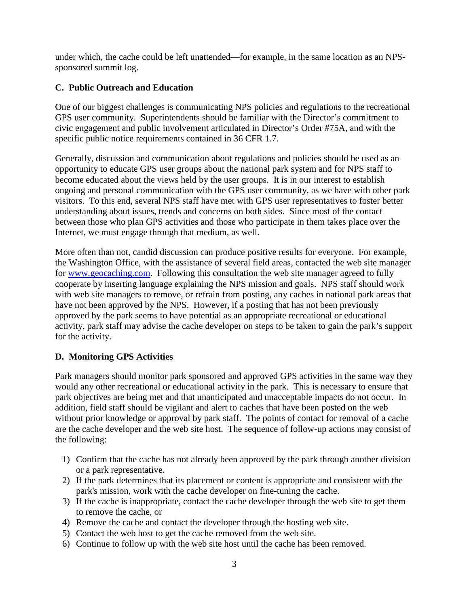under which, the cache could be left unattended—for example, in the same location as an NPSsponsored summit log.

## **C. Public Outreach and Education**

One of our biggest challenges is communicating NPS policies and regulations to the recreational GPS user community. Superintendents should be familiar with the Director's commitment to civic engagement and public involvement articulated in Director's Order #75A, and with the specific public notice requirements contained in 36 CFR 1.7.

Generally, discussion and communication about regulations and policies should be used as an opportunity to educate GPS user groups about the national park system and for NPS staff to become educated about the views held by the user groups. It is in our interest to establish ongoing and personal communication with the GPS user community, as we have with other park visitors. To this end, several NPS staff have met with GPS user representatives to foster better understanding about issues, trends and concerns on both sides. Since most of the contact between those who plan GPS activities and those who participate in them takes place over the Internet, we must engage through that medium, as well.

More often than not, candid discussion can produce positive results for everyone. For example, the Washington Office, with the assistance of several field areas, contacted the web site manager for www.geocaching.com. Following this consultation the web site manager agreed to fully cooperate by inserting language explaining the NPS mission and goals. NPS staff should work with web site managers to remove, or refrain from posting, any caches in national park areas that have not been approved by the NPS. However, if a posting that has not been previously approved by the park seems to have potential as an appropriate recreational or educational activity, park staff may advise the cache developer on steps to be taken to gain the park's support for the activity.

#### **D. Monitoring GPS Activities**

Park managers should monitor park sponsored and approved GPS activities in the same way they would any other recreational or educational activity in the park. This is necessary to ensure that park objectives are being met and that unanticipated and unacceptable impacts do not occur. In addition, field staff should be vigilant and alert to caches that have been posted on the web without prior knowledge or approval by park staff. The points of contact for removal of a cache are the cache developer and the web site host. The sequence of follow-up actions may consist of the following:

- 1) Confirm that the cache has not already been approved by the park through another division or a park representative.
- 2) If the park determines that its placement or content is appropriate and consistent with the park's mission, work with the cache developer on fine-tuning the cache.
- 3) If the cache is inappropriate, contact the cache developer through the web site to get them to remove the cache, or
- 4) Remove the cache and contact the developer through the hosting web site.
- 5) Contact the web host to get the cache removed from the web site.
- 6) Continue to follow up with the web site host until the cache has been removed.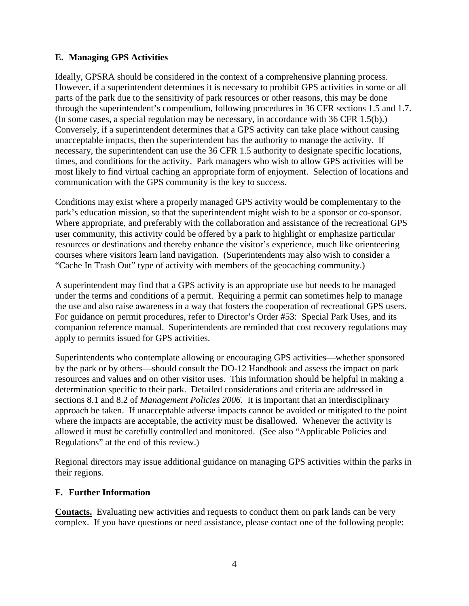### **E. Managing GPS Activities**

Ideally, GPSRA should be considered in the context of a comprehensive planning process. However, if a superintendent determines it is necessary to prohibit GPS activities in some or all parts of the park due to the sensitivity of park resources or other reasons, this may be done through the superintendent's compendium, following procedures in 36 CFR sections 1.5 and 1.7. (In some cases, a special regulation may be necessary, in accordance with 36 CFR 1.5(b).) Conversely, if a superintendent determines that a GPS activity can take place without causing unacceptable impacts, then the superintendent has the authority to manage the activity. If necessary, the superintendent can use the 36 CFR 1.5 authority to designate specific locations, times, and conditions for the activity. Park managers who wish to allow GPS activities will be most likely to find virtual caching an appropriate form of enjoyment. Selection of locations and communication with the GPS community is the key to success.

Conditions may exist where a properly managed GPS activity would be complementary to the park's education mission, so that the superintendent might wish to be a sponsor or co-sponsor. Where appropriate, and preferably with the collaboration and assistance of the recreational GPS user community, this activity could be offered by a park to highlight or emphasize particular resources or destinations and thereby enhance the visitor's experience, much like orienteering courses where visitors learn land navigation. (Superintendents may also wish to consider a "Cache In Trash Out" type of activity with members of the geocaching community.)

A superintendent may find that a GPS activity is an appropriate use but needs to be managed under the terms and conditions of a permit. Requiring a permit can sometimes help to manage the use and also raise awareness in a way that fosters the cooperation of recreational GPS users. For guidance on permit procedures, refer to Director's Order #53: Special Park Uses, and its companion reference manual. Superintendents are reminded that cost recovery regulations may apply to permits issued for GPS activities.

Superintendents who contemplate allowing or encouraging GPS activities—whether sponsored by the park or by others—should consult the DO-12 Handbook and assess the impact on park resources and values and on other visitor uses. This information should be helpful in making a determination specific to their park. Detailed considerations and criteria are addressed in sections 8.1 and 8.2 of *Management Policies 2006*. It is important that an interdisciplinary approach be taken. If unacceptable adverse impacts cannot be avoided or mitigated to the point where the impacts are acceptable, the activity must be disallowed. Whenever the activity is allowed it must be carefully controlled and monitored. (See also "Applicable Policies and Regulations" at the end of this review.)

Regional directors may issue additional guidance on managing GPS activities within the parks in their regions.

#### **F. Further Information**

**Contacts.** Evaluating new activities and requests to conduct them on park lands can be very complex. If you have questions or need assistance, please contact one of the following people: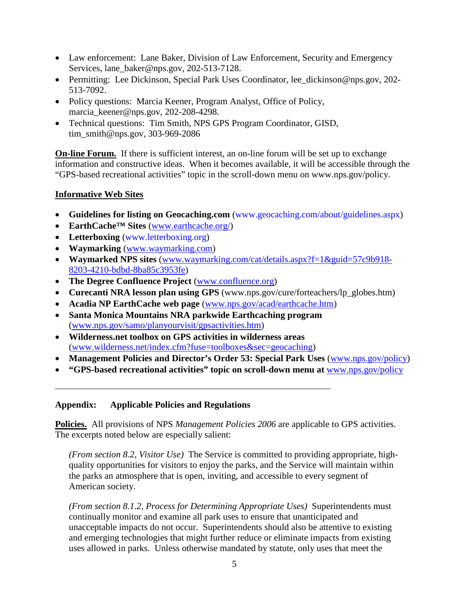- Law enforcement: Lane Baker, Division of Law Enforcement, Security and Emergency Services, lane\_baker@nps.gov, 202-513-7128.
- Permitting: Lee Dickinson, Special Park Uses Coordinator, lee\_dickinson@nps.gov, 202- 513-7092.
- Policy questions: Marcia Keener, Program Analyst, Office of Policy, marcia\_keener@nps.gov, 202-208-4298.
- Technical questions: Tim Smith, NPS GPS Program Coordinator, GISD, tim\_smith@nps.gov, 303-969-2086

**On-line Forum.** If there is sufficient interest, an on-line forum will be set up to exchange information and constructive ideas. When it becomes available, it will be accessible through the "GPS-based recreational activities" topic in the scroll-down menu on www.nps.gov/policy.

#### **Informative Web Sites**

- **Guidelines for listing on Geocaching.com** [\(www.geocaching.com/](http://www.geocaching.com/)about/guidelines.aspx)
- **EarthCache™ Sites** (www.earthcache.org/)
- **Letterboxing** [\(www.letterboxing.org\)](http://www.letterboxing.org/)
- **Waymarking** [\(www.waymarking.com\)](http://www.waymarking.com/)
- **Waymarked NPS sites** [\(www.waymarking.com/cat/details.aspx?f=1&guid=57c9b918-](http://www.waymarking.com/cat/details.aspx?f=1&guid=57c9b918-8203-4210-bdbd-8ba85c3953fe) [8203-4210-bdbd-8ba85c3953fe\)](http://www.waymarking.com/cat/details.aspx?f=1&guid=57c9b918-8203-4210-bdbd-8ba85c3953fe)
- **The Degree Confluence Project** [\(www.confluence.org\)](http://www.confluence.org/)
- **Curecanti NRA lesson plan using GPS** (www.nps.gov/cure/forteachers/lp\_globes.htm)
- **Acadia NP EarthCache web page** [\(www.nps.gov/acad/earthcache.htm\)](http://www.nps.gov/acad/earthcache.htm)
- **Santa Monica Mountains NRA parkwide Earthcaching program**  [\(www.nps.gov/samo/planyourvisit/gpsactivities.htm\)](http://www.nps.gov/samo/planyourvisit/gpsactivities.htm)
- **Wilderness.net toolbox on GPS activities in wilderness areas** (www.wilderness.net/index.cfm?fuse=toolboxes&sec=geocaching)
- **Management Policies and Director's Order 53: Special Park Uses** [\(www.nps.gov/policy\)](http://www.nps.gov/policy)
- **"GPS-based recreational activities" topic on scroll-down menu at** [www.nps.gov/policy](file://inp2552mibfs3/polshared/Potpourri/Geocaching/www.nps.gov/policy)

#### **Appendix: Applicable Policies and Regulations**

**Policies.** All provisions of NPS *Management Policies 2006* are applicable to GPS activities. The excerpts noted below are especially salient:

*(From section 8.2, Visitor Use)* The Service is committed to providing appropriate, highquality opportunities for visitors to enjoy the parks, and the Service will maintain within the parks an atmosphere that is open, inviting, and accessible to every segment of American society.

*(From section 8.1.2, Process for Determining Appropriate Uses)* Superintendents must continually monitor and examine all park uses to ensure that unanticipated and unacceptable impacts do not occur. Superintendents should also be attentive to existing and emerging technologies that might further reduce or eliminate impacts from existing uses allowed in parks. Unless otherwise mandated by statute, only uses that meet the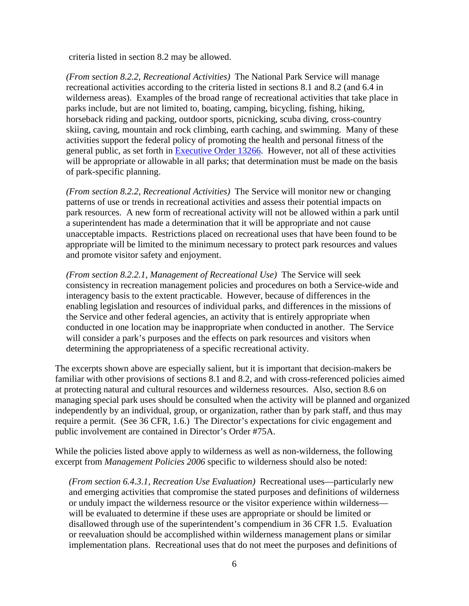criteria listed in section 8.2 may be allowed.

*(From section 8.2.2, Recreational Activities)* The National Park Service will manage recreational activities according to the criteria listed in sections 8.1 and 8.2 (and 6.4 in wilderness areas). Examples of the broad range of recreational activities that take place in parks include, but are not limited to, boating, camping, bicycling, fishing, hiking, horseback riding and packing, outdoor sports, picnicking, scuba diving, cross-country skiing, caving, mountain and rock climbing, earth caching, and swimming. Many of these activities support the federal policy of promoting the health and personal fitness of the general public, as set forth in [Executive Order 13266.](http://frwebgate.access.gpo.gov/cgi-bin/getdoc.cgi?dbname=2002_register&docid=02-16040-filed.pdf) However, not all of these activities will be appropriate or allowable in all parks; that determination must be made on the basis of park-specific planning.

*(From section 8.2.2, Recreational Activities)* The Service will monitor new or changing patterns of use or trends in recreational activities and assess their potential impacts on park resources. A new form of recreational activity will not be allowed within a park until a superintendent has made a determination that it will be appropriate and not cause unacceptable impacts. Restrictions placed on recreational uses that have been found to be appropriate will be limited to the minimum necessary to protect park resources and values and promote visitor safety and enjoyment.

*(From section 8.2.2.1, Management of Recreational Use)* The Service will seek consistency in recreation management policies and procedures on both a Service-wide and interagency basis to the extent practicable. However, because of differences in the enabling legislation and resources of individual parks, and differences in the missions of the Service and other federal agencies, an activity that is entirely appropriate when conducted in one location may be inappropriate when conducted in another. The Service will consider a park's purposes and the effects on park resources and visitors when determining the appropriateness of a specific recreational activity.

The excerpts shown above are especially salient, but it is important that decision-makers be familiar with other provisions of sections 8.1 and 8.2, and with cross-referenced policies aimed at protecting natural and cultural resources and wilderness resources. Also, section 8.6 on managing special park uses should be consulted when the activity will be planned and organized independently by an individual, group, or organization, rather than by park staff, and thus may require a permit. (See 36 CFR, 1.6.) The Director's expectations for civic engagement and public involvement are contained in Director's Order #75A.

While the policies listed above apply to wilderness as well as non-wilderness, the following excerpt from *Management Policies 2006* specific to wilderness should also be noted:

*(From section 6.4.3.1, Recreation Use Evaluation)* Recreational uses—particularly new and emerging activities that compromise the stated purposes and definitions of wilderness or unduly impact the wilderness resource or the visitor experience within wilderness will be evaluated to determine if these uses are appropriate or should be limited or disallowed through use of the superintendent's compendium in [36 CFR 1.5.](http://ecfr.gpoaccess.gov/cgi/t/text/text-idx?c=ecfr&sid=bfb98b8f2953dbc1aa0c51c7f8e5d624&rgn=div8&view=text&node=36:1.0.1.1.1.0.1.5&idno=36) Evaluation or reevaluation should be accomplished within wilderness management plans or similar implementation plans. Recreational uses that do not meet the purposes and definitions of